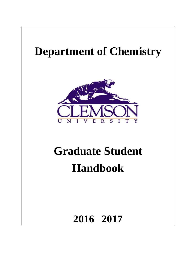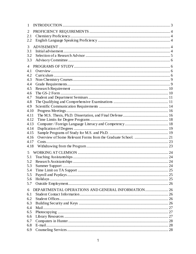| 1            |    |
|--------------|----|
| 2            |    |
| 2.1          |    |
| 2.2          |    |
| 3            |    |
| 3.1          |    |
| 3.2          |    |
| 3.3          |    |
| 4            |    |
| 4.1          |    |
| 4.2          |    |
| 4.3          |    |
| 4.4          |    |
| 4.5          |    |
| 4.6          |    |
| 4.7          |    |
| 4.8          |    |
| 4.9          |    |
| 4.10         |    |
| 4.11         |    |
| 4.12         |    |
| 4.13         |    |
| 4.14         |    |
| 4.15         |    |
| 4.16<br>4.17 |    |
| 4.18         |    |
|              |    |
| 5            |    |
| 5.1          |    |
| 5.2          |    |
| 5.3          | 24 |
| 5.4          |    |
| 5.5          |    |
| 5.6          |    |
| 5.7          |    |
| 6            |    |
| 6.1          |    |
| 6.2          |    |
| 6.3          |    |
| 6.4          |    |
| 6.5          |    |
| 6.6          |    |
| 6.7          |    |
| 6.8          |    |
| 6.9          |    |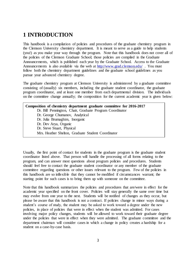# **1 INTRODUCTION**

This handbook is a compilation of policies and procedures of the graduate chemistry program in the Clemson University chemistry department. It is meant to serve as a guide to help students (you!) as you make your way through the program. Note that this handbook does not cover all of the policies of the Clemson Graduate School; those policies are compiled in the Graduate Announcements, which is published each year by the Graduate School. Access to the Graduate Announcements is also available via the web at<http://www.grad.clemson.edu/>. You must follow both the chemistry department guidelines and the graduate school guidelines as you pursue your advanced chemistry degree.

The graduate chemistry program at Clemson University is administered by a graduate committee consisting of (usually) six members, including the graduate student coordinator, the graduate program coordinator, and at least one member from each departmental division. The individuals on the committee change annually; the composition for the current academic year is given below:

**Composition of chemistry department graduate committee for 2016-2017** Dr. Bill Pennington, Chair, Graduate Program Coordinator Dr. George Chumanov, Analytical Dr. Julia Brumaghim, Inorganic Dr. Dev Arya, Organic Dr. Steve Stuart, Physical Mrs. Heather Shelton, Graduate Student Coordinator

Usually, the first point of contact for students in the graduate program is the graduate student coordinator listed above. That person will handle the processing of all forms relating to the program, and can answer most questions about program policies and procedures. Students should feel free to contact the graduate student coordinator or any member of the graduate committee regarding questions or other issues relevant to the program. Few of the policies in this handbook are so inflexible that they cannot be modified if circumstances warrant; the starting point for such cases is to bring them up with someone on the committee.

Note that this handbook summarizes the policies and procedures that are/were in effect for the academic year specified on the front cover. Policies will stay generally the same over time but may evolve from one year to the next. Students will be notified of changes as they occur, but please be aware that this handbook is not a contract. If policies change in minor ways during a student's course of study, the student may be asked to work toward a degree under the new policies, in place of policies that were in effect when the student was admitted. For cases involving major policy changes, students will be allowed to work toward their graduate degree under the policies that were in effect when they were admitted. The graduate committee and the department chairman will consider cases in which a change in policy creates a hardship for a student on a case-by-case basis.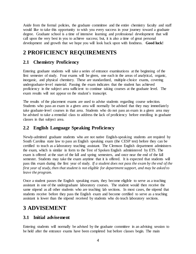Aside from the formal policies, the graduate committee and the entire chemistry faculty and staff would like to take this opportunity to wish you every success in your journey toward a graduate degree. Graduate school is a time of intensive learning and professional development that will call upon the very best in you to achieve success; but, it is also a time of great personal development and growth that we hope you will look back upon with fondness. **Good luck!**

# **2 PROFICIENCY REQUIREMENTS**

# **2.1 Chemistry Proficiency**

Entering graduate students will take a series of entrance examinations at the beginning of the first semester of study. Four exams will be given, one each in the areas of analytical, organic, inorganic, and physical chemistry. These are standardized, multiple-choice exams, covering undergraduate-level material. Passing the exam indicates that the student has achieved proficiency in the subject area sufficient to continue taking courses at the graduate level. The exam results will not appear on the student's transcript.

The results of the placement exams are used to advise students regarding course selection. Students who pass an exam in a given area will normally be advised that they may immediately take graduate-level courses in that area. Students who do not pass an exam in a given area may be advised to take a remedial class to address the lack of proficiency before enrolling in graduate classes in that subject area.

### **2.2 English Language Speaking Proficiency**

Newly-admitted graduate students who are not native English-speaking students are required by South Carolina state law to pass an English speaking exam (the CESP test) before they can be certified to teach as a laboratory teaching assistant. The Clemson English department administers the exam, which is similar in form to the Test of Spoken English administered by ETS. The exam is offered at the start of the fall and spring semesters, and once near the end of the fall semester. Students may take the exam anytime that it is offered. It is expected that students will pass this exam during the first year of study. *If a student does not pass the exam by the end of the first year of study, then that student is not eligible for department support, and may be asked to leave the program.* 

Once a student passes the English speaking exam, they become eligible to serve as a teaching assistant in one of the undergraduate laboratory courses. The student would then receive the same stipend as all other students who are teaching lab sections. In most cases, the stipend that students receive before they pass the English exam and become certified to serve as a teaching assistant is lower than the stipend received by students who do teach laboratory sections.

# **3 ADVISEMENT**

### **3.1 Initial advisement**

Entering students will normally be advised by the graduate committee in an advising session to be held after the entrance exams have been completed but before classes begin. The main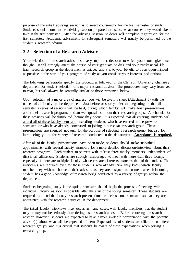purpose of the initial advising session is to select coursework for the first semester of study. Students should come to the advising session prepared to discuss what courses they would like to take in the first semester. After the advising session, students will complete registration for the first semester. Academic advisement for subsequent semesters will usually be performed by the student's research advisor.

### **3.2 Selection of a Research Advisor**

Your selection of a research advisor is a very important decision to which you should give much thought. It will strongly affect the course of your graduate studies and your professional life. Each research group in the department is unique, and it is to your benefit to be as open-minded as possible at the start of your program of study as you consider your interests and options.

The following paragraphs specify the procedures followed in the Clemson University chemistry department for student selection of a major research advisor. The procedures may vary from year to year, but will always be generally similar to those presented below.

Upon selection of a major area of interest, you will be given a sheet (Attachment I) with the names of all faculty in the department. Just before or shortly after the beginning of the fall semester a series of sessions will be held, during which faculty will make brief presentations about their research programs and answer questions about their research groups. A schedule for these sessions will be distributed before they occur. It is expected that all entering students will attend all of these faculty seminars, including students who have entered in the previous semester, or who have already committed to joining a particular research group. These presentations are intended not only for the purpose of selecting a research group, but also for introducing you to the variety of research conducted in the department. **Attendance is required.**

After all of the faculty presentations have been made, students should make individual appointments with several faculty members for a more detailed discussion/interview about their research programs. Each student must meet with at least three faculty members, independent of divisional affiliation. Students are strongly encouraged to meet with more than three faculty, especially if there are multiple faculty whose research interests matches that of the student. The interviews are required even for those students who already think they know which faculty member they wish to choose as their advisor, as they are designed to ensure that each incoming student has a good knowledge of research being conducted by a variety of groups within the department.

Students beginning study in the spring semester should begin the process of meeting with individual faculty as soon as possible after the start of the spring semester. These students are required to attend the faculty research presentations in their second semester, so that they are acquainted with the research activities in the department.

The initial faculty interviews may occur, in many cases, with faculty members that the student may or may not be seriously considering as a research advisor. Before choosing a research advisor, however, students are expected to have a more in-depth conversation with the potential advisor(s) about what will be expected of them. Expectations of students are different in different research groups, and it is crucial that students be aware of these expectations when joining a research group.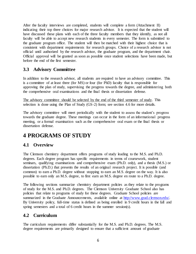After the faculty interviews are completed, students will complete a form (Attachment II) indicating their top three choices for major research advisor. It is expected that the student will have discussed these plans with each of the three faculty members that they identify, as not all faculty will be able to accept new research students in every semester. The form is submitted to the graduate program office. The student will then be matched with their highest choice that is consistent with department requirements for research groups. Choice of a research advisor is not official until authorized by the research advisor, the graduate program, and the department chair. Official approval will be granted as soon as possible once student selections have been made, but before the end of the first semester.

### **3.3 Advisory Committee**

In addition to the research advisor, all students are required to have an advisory committee. This is a committee of at least three (for MS) or four (for PhD) faculty that is responsible for approving the plan of study, supervising the progress towards the degree, and administering both the comprehensive oral examinations and the final thesis or dissertation defense.

The advisory committee should be selected by the end of the third semester of study. This selection is done using the Plan of Study (GS-2) form; see section 4.6 for more details.

The advisory committee will meet periodically with the student to assess the student's progress towards the graduate degree. These meetings can occur in the form of an informational progress meeting, or a formal examination such as the comprehensive oral exam or the final thesis or dissertation defense.

# **4 PROGRAMS OF STUDY**

### **4.1 Overview**

The Clemson chemistry department offers programs of study leading to the M.S. and Ph.D. degrees. Each degree program has specific requirements in terms of coursework, student seminars, qualifying examinations and comprehensive exam (Ph.D. only), and a thesis (M.S.) or dissertation (Ph.D.) that presents the results of an original research project. It is possible (and common) to earn a Ph.D. degree without stopping to earn an M.S. degree on the way. It is also possible to earn only an M.S. degree, to first earn an M.S. degree en route to a Ph.D. degree.

The following sections summarize chemistry department policies as they relate to the programs of study for the M.S. and Ph.D. degrees. The Clemson University Graduate School also has policies that relate to programs of study for these degrees. Graduate School policies are summarized in the Graduate Announcements, available online at http://www.grad.clemson.edu/. By University policy, full-time status is defined as being enrolled in 9 credit hours in the fall and spring semesters and a total of 6 credit hours in the summer session(s).

### **4.2 Curriculum**

The curriculum requirements differ substantially for the M.S. and Ph.D. degrees. The M.S. degree requirements are primarily designed to ensure that a sufficient amount of graduate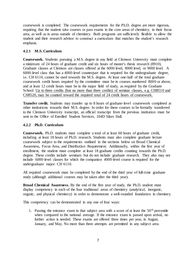coursework is completed. The coursework requirements for the Ph.D. degree are more rigorous, requiring that the student take courses or pass exams in the core areas of chemistry, in their focus area, as well as in areas outside of chemistry. Both programs are sufficiently flexible to allow the student and their research advisor to construct a curriculum that matches the student's research emphasis.

#### **4.2.1 M.S. Curriculum**

**Coursework.** Students pursuing a M.S. degree in any field at Clemson University must complete a minimum of 24 hours of graduate credit and six hours of master's thesis research (8910). Graduate classes at Clemson are classes offered at the 6000 level, 8000 level, or 9000 level. A 6000-level class that has a 4000-level counterpart that is required for the undergraduate degree, i.e. CH 6110, cannot be used towards the M.S. degree. At least one-half of the total graduate coursework credit hours required by the committee must be in courses numbered 8000 or above, and at least 12 credit hours must be in the major field of study, as required by the Graduate School. Up to three credits (but no more than three credits) of seminar classes, e.g. CH8510 and CH8520, may be counted toward the required total of 24 credit hours of coursework.

**Transfer credit.** Students may transfer up to 8 hours of graduate-level coursework completed at other institutions towards their M.S. degree. In order for these courses to be formally transferred to the Clemson University transcript, an official transcript from the previous institution must be sent to the Office of Enrolled Student Services, 104D Sikes Hall.

#### **4.2.2 Ph.D. Curriculum**

**Coursework.** Ph.D. students must complete a total of at least 60 hours of graduate credit, including at least 18 hours of Ph.D. research. Students must also complete graduate lecture coursework subject to the requirements outlined in the sections below on Broad Chemical Awareness, Focus Area, and Distribution Requirement. Additionally, within the first year of enrollment, the student must complete at least 18 graduate credits counting towards the Ph.D. degree. These credits include seminars but do not include graduate research. They also may not include 6000-level classes for which the companion 4000-level course is required for the undergraduate major: CH 6110.

All required coursework must be completed by the end of the third year of full-time graduate study (although additional courses may be taken after the third year).

**Broad Chemical Awareness.** By the end of the first year of study, the Ph.D. student must display competency in each of the four traditional areas of chemistry (analytical, inorganic, organic, and physical chemistry) in order to demonstrate a well-rounded foundation in chemistry.

This competency can be demonstrated in any one of four ways:

1. Passing the entrance exam in that subject area with a score of at least the  $50<sup>th</sup>$  percentile when compared to the national average. If the entrance exam is passed upon arrival, no further action is needed. These exams are offered three times per year, in August, January, and May. No more than three attempts are permitted in any subject area.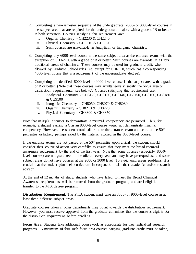- 2. Completing a two-semester sequence of the undergraduate 2000- or 3000-level courses in the subject area that are required for the undergraduate major, with a grade of B or better in both semesters. Courses satisfying this requirement are:
	- i. Organic Chemistry CH2230 & CH2240
	- ii. Physical Chemistry CH3310 & CH3320
	- iii. Such courses are unavailable in Analytical or Inorganic chemistry.
- 3. Completing any 6000-level course in the same subject area as the entrance exam, with the exception of CH 6270, with a grade of B or better. Such courses are available in all four traditional areas of chemistry. These courses may be used for graduate credit, when allowed by Graduate School rules (i.e. except for CH6110, which has a corresponding 4000-level course that is a requirement of the undergraduate degree).
- 4. Completing an identified 8000-level or 9000-level course in the subject area with a grade of B or better. (Note that these courses may simultaneously satisfy the focus area or distribution requirements; see below.). Courses satisfying this requirement are:
	- i. Analytical Chemistry CH8120, CH8130, CH8140, CH8150, CH8160, CH8180 & CH9100
	- ii. Inorganic Chemistry CH8050, CH8070  $&$  CH8080
	- iii. Organic Chemistry CH8210 & CH8220
	- iv. Physical Chemistry CH8300 & CH8370

Note that multiple attempts to demonstrate a minimal competency are permitted. Thus, for example, a student earning a C in an 8000-level course would not demonstrate minimal competency. However, the student could still re-take the entrance exam and score at the 50<sup>th</sup> percentile or higher, perhaps aided by the material studied in the 8000-level course.

If the entrance exams are not passed at the 50<sup>th</sup> percentile upon arrival, the student should consider their course of action very carefully to ensure that they meet the broad chemical awareness requirement by the end of the first year. Note that some courses (especially 8000 level courses) are not guaranteed to be offered every year and may have prerequisites, and some subject areas do not have courses at the 2000 or 3000 level. To avoid unforeseen problems, it is crucial that the student plan their curriculum in conjunction with their academic and/or research advisor.

At the end of 12 months of study, students who have failed to meet the Broad Chemical Awareness requirements will be removed from the graduate program, and are ineligible to transfer to the M.S. degree program.

**Distribution Requirement.** The Ph.D. student must take an 8000- or 9000-level course in at least three different subject areas.

Graduate courses taken in other departments may count towards the distribution requirement. However, you must receive approval from the graduate committee that the course is eligible for the distribution requirement before enrolling.

**Focus Area.** Students take additional coursework as appropriate for their individual research programs. A minimum of four such focus area courses carrying graduate credit must be taken,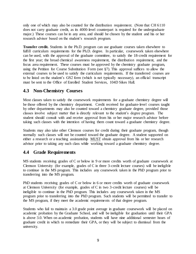only one of which may also be counted for the distribution requirement. (Note that CH 6110 does not carry graduate credit, as its 4000-level counterpart is required for the undergraduate major.) These courses can be in any area, and should be chosen by the student and his or her research advisor based on the student's research program.

**Transfer credit.** Students in the Ph.D. program can use graduate courses taken elsewhere to fulfill curriculum requirements for the Ph.D. degree. In particular, coursework taken elsewhere can be used, with the approval of the graduate committee, to satisfy the 18-credit requirement for the first year; the broad chemical awareness requirement, the distribution requirement, and the focus area requirement. These courses must be approved by the chemistry graduate program, using the Petition for Course Substitution Form (see §7). This approval suffices to allow the external courses to be used to satisfy the curriculum requirements. If the transferred courses are to be listed on the student's GS2 form (which is not typically necessary), an official transcript must be sent to the Office of Enrolled Student Services, 104D Sikes Hall.

### **4.3 Non-Chemistry Courses**

Most classes taken to satisfy the coursework requirements for a graduate chemistry degree will be those offered by the chemistry department. Credit received for graduate-level courses taught by other departments may also be counted toward a chemistry graduate degree, provided those classes involve subject matter that is directly relevant to the student's degree program. The student should consult with and receive approval from his or her major research advisor before taking such classes with the intention of having them count toward a graduate chemistry degree.

Students may also take other Clemson courses for credit during their graduate program, though normally such classes will not be counted toward the graduate degree. A student supported on either a research or a teaching assistantship MUST obtain approval from his or her research advisor prior to taking any such class while working toward a graduate chemistry degree.

### **4.4 Grade Requirements**

MS students receiving grades of C or below in 9 or more credits worth of graduate coursework at Clemson University (for example, grades of C in three 3-credit lecture courses) will be ineligible to continue in the MS program. This includes any coursework taken in the PhD program prior to transferring into the MS program.

PhD students receiving grades of C or below in 6 or more credits worth of graduate coursework at Clemson University (for example, grades of C in two 3-credit lecture courses) will be ineligible to continue in the PhD program. This includes any coursework taken in the MS program prior to transferring into the PhD program. Such students will be permitted to transfer to the MS program, if they meet the academic requirements of that degree program.

Students who fail to maintain a 3.0 grade point average in graduate coursework will be placed on academic probation by the Graduate School, and will be ineligible for graduation until their GPA is above 3.0. When on academic probation, students will have nine additional semester hours of graduate credit in which to remediate their GPA, or they will be subject to dismissal from the university.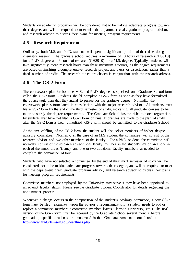Students on academic probation will be considered not to be making adequate progress towards their degree, and will be required to meet with the department chair, graduate program advisor, and research advisor to discuss their plans for meeting program requirements.

### **4.5 Research Requirement**

Ordinarily, both M.S. and Ph.D. students will spend a significant portion of their time doing chemistry research. The graduate school requires a minimum of 18 hours of research (CH9910) for a Ph.D. degree and 6 hours of research (CH8910) for a M.S. degree. Typically students will take significantly more research hours than these minimum amounts, as the degree requirements are based on finishing a comprehensive research project and thesis or dissertation, rather than a fixed number of credits. The research topics are chosen in conjunction with the research advisor.

### **4.6 The GS-2 Form**

The coursework plan for both the M.S. and Ph.D. degrees is specified on a Graduate School form called the GS-2 form. Students should complete a GS-2 form as soon as they have formulated the coursework plan that they intend to pursue for the graduate degree. Normally, the coursework plan is formulated in consultation with the major research advisor. All students must file a GS-2 form by the end of the third semester of study, indicating all graduate courses to be taken to satisfy the degree requirements. The Graduate School has the right to block registration by students that have not filed a GS-2 form on time. If changes are made to the plan of study after the GS-2 form is filed, a modified GS-2 form should be submitted to the Graduate School.

At the time of filing of the GS-2 form, the student will also select members of his/her degree advisory committee. Normally, in the case of an M.S. student the committee will consist of the research advisor and two other members of the faculty. For a Ph.D. student, the committee will normally consist of the research advisor, one faculty member in the student's major area, one in each of the minor areas (if any), and one or two additional faculty members as needed to complete the committee of four.

Students who have not selected a committee by the end of their third semester of study will be considered not to be making adequate progress towards their degree, and will be required to meet with the department chair, graduate program advisor, and research advisor to discuss their plans for meeting program requirements.

Committee members not employed by the University may serve if they have been appointed to an adjunct faculty status. Please see the Graduate Student Coordinator for details regarding the appointment process.

Whenever a change occurs in the composition of the student's advisory committee, a new GS-2 form must be filed (examples: upon the advisor's recommendation, a student needs to add or replace a committee member; a committee member leaves Clemson University, etc.) The final version of the GS-2 form must be received by the Graduate School several months before graduation; specific deadlines are announced in the "Graduate Announcements" and at [http://www.grad.clemson.edu/deadlines.php.](http://www.grad.clemson.edu/deadlines.php)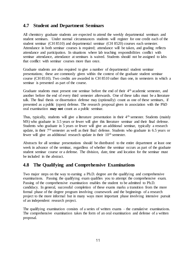### **4.7 Student and Department Seminars**

All chemistry graduate students are expected to attend the weekly departmental seminars and student seminars. Under normal circumstances students will register for one credit each of the student seminar (CH 8510) and departmental seminar (CH 8520) courses each semester. Attendance in both seminar courses is required; attendance will be taken, and grading reflects attendance and participation. In situations where lab teaching responsibilities conflict with seminar attendance, attendance at seminars is waived. Students should not be assigned to labs that conflict with seminar courses more than once.

Graduate students are also required to give a number of departmental student seminar presentations; these are commonly given within the context of the graduate student seminar course (CH 8510). Two credits are awarded in CH 8510 rather than one, in semesters in which a seminar is presented as part of the course.

Graduate students must present one seminar before the end of their 4th academic semester, and another before the end of every third semester afterwards. One of these talks must be a literature talk. The final thesis or dissertation defense may (optionally) count as one of these seminars, if presented as a public (open) defense. The research proposal given in association with the PhD oral examination **may not** count as a public seminar.

Thus, typically, students will give a literature presentation in their 4<sup>th</sup> semester. Students (mainly MS) who graduate in 3.5 years or fewer will give this literature seminar and their final defense. Students who graduate in 5 years or fewer will give an additional seminar, typically a research update, in their 7th semester as well as their final defense. Students who graduate in 6.5 years or fewer will give an additional research update in their 10<sup>th</sup> semester.

Abstracts for all seminar presentations should be distributed to the entire department at least one week in advance of the seminar, regardless of whether the seminar occurs as part of the graduate student seminar course or a defense. The division, date, time and location for the seminar must be included in the abstract.

### **4.8 The Qualifying and Comprehensive Examinations**

Two major steps on the way to earning a Ph.D. degree are the qualifying and comprehensive examinations. Passing the qualifying exam qualifies you to attempt the comprehensive exam. Passing of the comprehensive examination enables the student to be admitted to Ph.D. candidacy. In general, successful completion of these exams marks a transition from the more formal phase of the degree program involving coursework and the beginnings of a research project to the more informal but in many ways more important phase involving intensive pursuit of an independent research project.

The qualifying examination consists of a series of written exams – the cumulative examinations. The comprehensive examination takes the form of an oral examination and defense of a written proposal.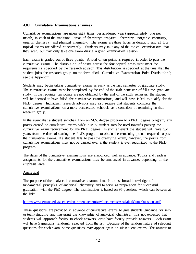#### **4.8.1 Cumulative Examinations (Cumes)**

Cumulative examinations are given eight times per academic year (approximately one per month) in each of the traditional areas of chemistry: analytical chemistry, inorganic chemistry, organic chemistry, and physical chemistry. The exams are three hours in duration, and all four topical exams are offered concurrently. Students may take any of the topical examinations that they wish, but may only take one exam during a given examination session.

Each exam is graded out of three points. A total of ten points is required in order to pass the cumulative exams. The distribution of points across the four topical areas must meet the requirements specified by the research advisor. This distribution is specified at the time that the student joins the research group on the form titled "Cumulative Examination Point Distribution"; see the Appendix.

Students may begin taking cumulative exams as early as the first semester of graduate study. The cumulative exams must be completed by the end of the sixth semester of full-time graduate study. If the requisite ten points are not obtained by the end of the sixth semester, the student will be deemed to have failed the cumulative examinations, and will have failed to qualify for the Ph.D. degree. Individual research advisors may also require that students complete the cumulative examinations on a more accelerated schedule as a condition of remaining in that research group.

In the event that a student switches from an M.S. degree program to a Ph.D. degree program, any points earned on cumulative exams while a M.S. student may be used towards passing the cumulative exam requirement for the Ph.D. degree. In such an event the student will have two years from the time of starting the Ph.D. program to obtain the remaining points required to pass the cumulative exams. If a student fails to pass the qualifying exam, however, the points from cumulative examinations may not be carried over if the student is ever readmitted to the Ph.D. program.

The dates of the cumulative examinations are announced well in advance. Topics and reading assignments for the cumulative examinations may be announced in advance, depending on the emphasis area.

#### **Analytical**

The purpose of the analytical cumulative examinations is to test broad knowledge of fundamental principles of analytical chemistry and to serve as preparation for successful graduation with the PhD degree. The examination is based on 95 questions which can be seen at the link:

#### <http://www.clemson.edu/science/departments/chemistry/documents/AnalyticalCumeQuestions.pdf>

These questions are provided in advance of cumulative exams to give students guidance for selfor team-studying and mastering the knowledge of analytical chemistry. It is not expected that students will approach faculty to check answers, or to have faculty provide answers. Each exam will have 5 questions randomly selected from the list. Because of the random nature of selecting questions for each exam, some questions may appear again on subsequent exams. The answer to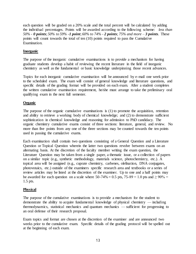each question will be graded on a 20% scale and the total percent will be calculated by adding the individual percentages. Points will be awarded according to the following scheme: *less than 50%* - *0 points*; *50% to 59%* -*1 point*; *60% to 74% - 2 points*; *75% and more – 3 points*. These points will count towards the total of ten (10) points required to pass the Cumulative Examination.

#### **Inorganic**

The purpose of the inorganic cumulative examinations is to provide a mechanism for having graduate students develop a habit of reviewing the recent literature in the field of inorganic chemistry as well as the fundamental or basic knowledge underpinning those recent advances.

Topics for each inorganic cumulative examination will be announced by e-mail one week prior to the scheduled exam. The exam will consist of general knowledge and literature questions, and specific details of the grading format will be provided on each exam. After a student completes the written cumulative examination requirement, he/she must arrange to take the preliminary oral qualifying exam in the next full semester.

#### **Organic**

The purpose of the organic cumulative examinations is (1) to promote the acquisition, retention and ability to retrieve a working body of chemical knowledge; and (2) to demonstrate sufficient sophistication in chemical knowledge and reasoning for admission to PhD candidacy. The organic chemistry cumulative exams consist of three sections: literature, general, and review. No more than five points from any one of the three sections may be counted towards the ten points used in passing the cumulative exams.

Each examination shall contain two questions consisting of a General Question and a Literature Question or Topical Question wherein the latter two questions revolve between exams on an alternating basis. At the discretion of the faculty member writing the exam question, the Literature Question may be taken from a single paper, a thematic issue, or a collection of papers on a similar topic (e.g., synthetic methodology, materials science, photochemistry, etc.). A topical area will be assigned (e.g., cuprate chemistry, carbenes, olefination, DNA conjugates, photovotaics, etc.) outside of the examiners specific research area and textbooks or a series of review articles may be listed at the discretion of the examiner. Up to one and a half points may be awarded for each question on a scale where  $50-74\% = 0.5$  pts,  $75-89 = 1.0$  pts and  $\geq 90\% =$ 1.5 pts.

#### **Physical**

The purpose of the cumulative examinations is to provide a mechanism for the student to demonstrate the ability to acquire fundamental knowledge of physical chemistry — including thermodynamics, statistical mechanics and quantum mechanics — sufficient for progressing to an oral defense of their research proposal.

Exam topics and format are chosen at the discretion of the examiner and are announced two weeks prior to the cumulative exam. Specific details of the grading protocol will be spelled out at the beginning of each exam.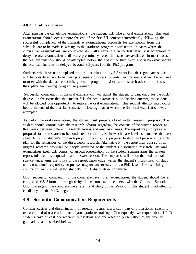#### **4.8.2 Oral Examination**

After passing the cumulative examinations, the student will take an oral examination. This oral examination should occur before the end of the first full semester immediately following the successful completion of the cumulative examinations. Requests for exemptions from this schedule are to be made in writing to the graduate program coordinator. In cases where the cumulative examinations are completed unusually early (e.g. in the first year), it is acceptable to delay the oral examination until some preliminary research results are available. In most cases, the oral examination should be attempted before the end of the third year, and in no event should the oral examination be delayed beyond 3.5 years into the PhD program.

Students who have not completed the oral examination by 3.5 years into their graduate studies will be considered not to be making adequate progress towards their degree, and will be required to meet with the department chair, graduate program advisor, and research advisor to discuss their plans for meeting program requirements.

Successful completion of the oral examination will admit the student to candidacy for the Ph.D. degree. In the event that the student fails the oral examination on the first attempt, the student will be allowed one opportunity to retake the oral examination. This second attempt must occur before the end of the first full semester following that in which the first oral examination was attempted.

As part of the oral examination, the student must prepare a brief written research proposal. The student should consult with the research advisor regarding the content of the written report, as this varies between different research groups and emphasis areas. The report may comprise a proposal for the research to be conducted for the Ph.D., in which case it will summarize the basic elements of the student's research project, report on the progress to date, and present a research plan for the remainder of the dissertation research. Alternatively, the report may consist of an original research proposal, on a topic unrelated to the student's dissertation research. The oral examination itself will consist of an oral presentation by the student summarizing the written report, followed by a question and answer session. The emphasis will be on the fundamental science underlying the topics in the report, knowledge within the student's major field of study, and the student's capability to pursue independent research at the PhD level. The examining committee will consist of the student's Ph.D. dissertation committee.

Upon successful completion of the comprehensive (oral) examination, the student should file a completed GS-5 form, to be signed by all the committee members, with the Graduate School. Upon passage of the comprehensive exam and filing of the GS-5 form, the student is admitted to candidacy for the Ph.D. degree.

### **4.9 Scientific Communication Requirements**

Communication and dissemination of research results is a critical part of professional scientific research, and also a crucial part of your graduate training. Consequently, we require that all PhD students have at least one research publication and one research presentation by the time of graduation, as described below.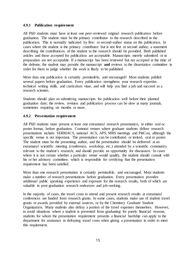#### **4.9.1 Publication requirement**

All PhD students must have at least one peer-reviewed original research publication before graduation. The student must be the primary contributor to the research described in the publication. This is normally indicated by first- or second-author status on the publication. In cases where the student is the primary contributor but is not first or second author, a statement describing the contributions of the student to the research should be provided. Both published articles and those accepted for publication are acceptable. Manuscripts merely submitted or in preparation are not acceptable. If a manuscript has been reviewed but not accepted at the time of the defense, the student may provide the manuscript **and** reviews to the dissertation committee in order for them to judge whether the work is likely to be published.

More than one publication is certainly permissible, and encouraged! Most students publish several papers before graduation. Every publication strengthens your research expertise, technical writing skills, and curriculum vitae, and will help you find a job and succeed as a research scientist.

Students should plan on submitting manuscripts for publication well before their planned graduation date; the review, revision and publication process can be slow at many journals, sometimes requiring six months or more.

#### **4.9.2 Presentation requirement**

All PhD students must present at least one extramural research presentation, in either oral or poster format, before graduation. Common venues where graduate students deliver research presentations include SERMACS, national ACS, APS, MRS meetings and PittCon, although the specific venue is not important. The presentation can be contributed or invited, oral or poster. The student must be the presenting author, and the presentation should be delivered at an extramural scientific meeting (conference, workshop, etc.) attended by a scientific community relevant to the student's research, and should provide an opportunity for discussion. In cases where it is not certain whether a particular venue would qualify, the student should consult with his or her advisory committee, which is responsible for certifying that the presentation requirement has been satisfied.

More than one research presentation is certainly permissible, and encouraged. Most students make a number of research presentations before graduation. Every presentation provides additional public speaking experience and exposure for the research results, both of which are valuable in post-graduation research endeavors and job-seeking.

In the majority of cases, the travel costs to attend and present research results at extramural conferences are funded from research grants. In some cases, students make use of student travel grants or awards provided by external sources, or by the Chemistry Graduate Student Organization. Many students also defray a portion of the travel expenses themselves. However, to avoid situations where a student is prevented from graduating for purely financial reasons, students for whom the presentation requirement presents a financial hardship can apply to the department for assistance in defraying travel costs when giving a presentation in order to meet this requirement.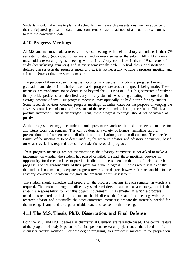Students should take care to plan and schedule their research presentations well in advance of their anticipated graduation date; many conferences have deadlines of as much as six months before the conference date.

### **4.10 Progress Meetings**

All MS students must hold a research progress meeting with their advisory committee in their 7<sup>th</sup> semester of study (not including summers) and in every semester thereafter. All PhD students must hold a research progress meeting with their advisory committee in their 11th semester of study (not including summers) and in every semester thereafter. A final thesis or dissertation defense can serve as the progress meeting. I.e., it is not necessary to have a progress meeting and a final defense during the same semester.

The purpose of these research progress meetings is to assess the student's progress towards graduation and determine whether reasonable progress towards the degree is being made. These meetings are mandatory for students in or beyond the 7<sup>th</sup> (MS) or 11<sup>th</sup> (PhD) semester of study so that possible problems are identified early for any students who are graduating in more than the average amount of time. But progress meetings may optionally be held earlier for any student. Some research advisors convene progress meetings at earlier dates for the purpose of keeping the advisory committee informed of the status of the research and soliciting their input. This is a positive interaction, and is encouraged. Thus, these progress meetings should not be viewed as punitive.

At the progress meetings, the student should present research results and a projected timeline for any future work that remains. This can be done in a variety of formats, including an oral presentation, brief written report, distribution of publications, or open discussion. The specific format of the meeting is to be determined by the research advisor and advisory committee, based on what they feel is required assess the student's research progress.

These progress meetings are not examinations; the advisory committee is not asked to make a judgement on whether the student has passed or failed. Instead, these meetings provide an opportunity for the committee to provide feedback to the student on the rate of their research progress, and the reasonability of their plans for future progress. In cases where it is clear that the student is not making adequate progress towards the degree, however, it is reasonable for the advisory committee to inform the graduate program of this assessment.

The student should schedule and prepare for the progress meeting in each semester in which it is required. The graduate program office may send reminders to students as a courtesy, but it is the student's responsibility to meet this degree requirement. In a semester in which a progress meeting is required or desired, the student should discuss the format of the meeting with the research advisor and potentially the other committee members; prepare the materials needed for the meeting, if any; and arrange a suitable date and venue for the meeting.

### **4.11 The M.S. Thesis, Ph.D. Dissertation, and Final Defense**

Both the M.S. and Ph.D. degrees in chemistry at Clemson are research-based. The central feature of the program of study is pursuit of an independent research project under the direction of a chemistry faculty member. For both degree programs, this project culminates in the preparation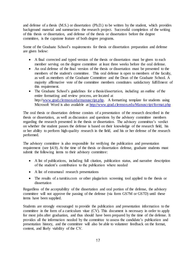and defense of a thesis (M.S.) or dissertation (Ph.D.) to be written by the student, which provides background material and summarizes the research project. Successful completion of the writing of this thesis or dissertation, and defense of the thesis or dissertation before the degree committee, is the capstone feature of both degree programs.

Some of the Graduate School's requirements for thesis or dissertation preparation and defense are given below:

- A final corrected and typed version of the thesis or dissertation must be given to each member serving on the degree committee at least three weeks before the oral defense.
- An oral defense of the final version of the thesis or dissertation must be presented to the members of the student's committee. This oral defense is open to members of the faculty, as well as members of the Graduate Committee and the Dean of the Graduate School. A majority affirmative vote of the committee members constitutes satisfactory fulfillment of this requirement.
- The Graduate School's guidelines for a thesis/dissertation, including an outline of the entire formatting and review process, are located at http://[www.grad.clemson.edu/manuscript.php.](http://www.grad.clemson.edu/manuscript.php) A formatting template for students using Microsoft Word is also available at<http://www.grad.clemson.edu/Manuscript/format.php>

The oral thesis or dissertation defense consists of a presentation of the research described in the thesis or dissertation, as well as discussion and questions by the advisory committee members regarding the research presented in the thesis or dissertation. The advisory committee's verdict on whether the student passes the defense is based on their knowledge of the research field, his or her ability to perform high-quality research in the field, and his or her defense of the research performed.

The advisory committee is also responsible for verifying the publication and presentation requirement (see §4.9). At the time of the thesis or dissertation defense, graduate students must submit the following items to their advisory committee:

- A list of publications, including full citation, publication status, and narrative description of the student's contribution to the publication where needed
- A list of extramural research presentations
- The results of a turnitin.com or other plagiarism screening tool applied to the thesis or dissertation

Regardless of the acceptability of the dissertation and oral portion of the defense, the advisory committee will not approve the passing of the defense (via form GS7M or GS7D) until these items have been supplied.

Students are strongly encouraged to provide the publication and presentation information to the committee in the form of a curriculum vitae (CV). This document is necessary in order to apply for most jobs after graduation, and thus should have been prepared by the time of the defense. It provides all the information needed by the committee to assess the candidate's publication and presentation history, and the committee will also be able to volunteer feedback on the format, content, and likely viability of the CV.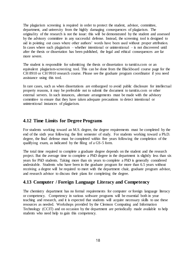The plagiarism screening is required in order to protect the student, advisor, committee, department, and university from the highly damaging consequences of plagiarism. The originality of the research is not the issue: this will be demonstrated by the student and assessed by the advisory committee in any successful defense. Instead, the screening tool is designed to aid in pointing out cases where other authors' words have been used without proper attribution. In cases where such plagiarism – whether intentional or unintentional – is not discovered until after the thesis or dissertation has been published, the legal and ethical consequences are far more severe.

The student is responsible for submitting the thesis or dissertation to turnitin.com or an equivalent plagiarism-screening tool. This can be done from the Blackboard course page for the CH 8910 or CH 9910 research course. Please see the graduate program coordinator if you need assistance using this tool.

In rare cases, such as when dissertations are embargoed to avoid public disclosure for intellectual property reasons, it may be preferable not to submit the document to turnitin.com or other external servers. In such instances, alternate arrangements must be made with the advisory committee to ensure that they have taken adequate precautions to detect intentional or unintentional instances of plagiarism.

### **4.12 Time Limits for Degree Programs**

For students working toward an M.S. degree, the degree requirements must be completed by the end of the sixth year following the first semester of study. For students working toward a Ph.D. degree, the final defense must be completed within five years following the completion of the qualifying exam, as indicated by the filing of a GS-5 form.

The total time required to complete a graduate degree depends on the student and the research project. But the average time to complete a PhD degree in the department is slightly less than six years for PhD students. Taking more than six years to complete a PhD is generally considered undesirable. Students who have been in the graduate program for more than 6.5 years without receiving a degree will be required to meet with the department chair, graduate program advisor, and research advisor to discuss their plans for completing the degree.

### **4.13 Computer / Foreign Language Literacy and Competency**

The chemistry department has no formal requirements for computer or foreign language literacy or competency. Competency in various software programs will be essential both in your teaching and research, and it is expected that students will acquire necessary skills to use these resources as needed. Workshops provided by the Clemson Computing and Information Technology (CCIT) and on occasion by the department are periodically made available to help students who need help to gain this competency.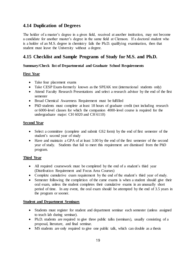### **4.14 Duplication of Degrees**

The holder of a master's degree in a given field, received at another institution, may not become a candidate for another master's degree in the same field at Clemson. If a doctoral student who is a holder of an M.S. degree in chemistry fails the Ph.D. qualifying examination, then that student must leave the University without a degree.

### **4.15 Checklist and Sample Programs of Study for M.S. and Ph.D.**

#### **Summary/Check list of Departmental and Graduate School Requirements**

#### **First Year**

- Take four placement exams
- Take CESP Exam-formerly known as the SPEAK test (international students only)
- Attend Faculty Research Presentations and select a research advisor by the end of the first semester
- Broad Chemical Awareness Requirement must be fulfilled
- PhD students must complete at least 18 hours of graduate credit (not including research or 6000-level classes for which the companion 4000-level course is required for the undergraduate major: CH 6020 and CH 6110)

#### **Second Year**

- Select a committee (complete and submit GS2 form) by the end of first semester of the student's second year of study
- Have and maintain a GPA of at least 3.00 by the end of the first semester of the second year of study. Students that fail to meet this requirement are dismissed from the PhD program.

### **Third Year**

- All required coursework must be completed by the end of a student's third year (Distribution Requirement and Focus Area Courses)
- Complete cumulative exam requirement by the end of the student's third year of study.
- Semester following the completion of the cume exams is when a student should give their oral exam, unless the student completes their cumulative exams in an unusually short period of time. In any event, the oral exam should be attempted by the end of 3.5 years in the program or sooner.

#### **Student and Department Seminars**

- Students must register for student and department seminar each semester (unless assigned to teach lab during seminar).
- Ph.D. students are required to give three public talks (seminars), usually consisting of a proposal, literature, and final seminar.
- MS students are only required to give one public talk, which can double as a thesis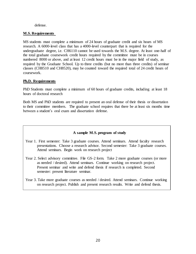#### defense.

#### **M.S. Requirements**

MS students must complete a minimum of 24 hours of graduate credit and six hours of MS research. A 6000-level class that has a 4000-level counterpart that is required for the undergraduate degree, i.e. CH6110 cannot be used towards the M.S. degree. At least one-half of the total graduate coursework credit hours required by the committee must be in courses numbered 8000 or above, and at least 12 credit hours must be in the major field of study, as required by the Graduate School. Up to three credits (but no more than three credits) of seminar classes (CH8510 and CH8520), may be counted toward the required total of 24 credit hours of coursework.

#### **Ph.D. Requirements**

PhD Students must complete a minimum of 60 hours of graduate credits, including at least 18 hours of doctoral research

Both MS and PhD students are required to present an oral defense of their thesis or dissertation to their committee members. The graduate school requires that there be at least six months time between a student's oral exam and dissertation defense.

#### **A sample M.S. program of study**

- Year 1. First semester: Take 3 graduate courses. Attend seminars. Attend faculty research presentations. Choose a research advisor. Second semester: Take 3 graduate courses. Attend seminars. Begin work on research project
- Year 2. Select advisory committee. File GS-2 form. Take 2 more graduate courses (or more as needed / desired). Attend seminars. Continue working on research project. Present seminar and write and defend thesis if research is completed. Second semester: present literature seminar.
- Year 3. Take more graduate courses as needed / desired. Attend seminars. Continue working on research project. Publish and present research results. Write and defend thesis.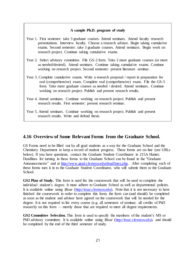#### **A sample Ph.D. program of study**

- Year 1. First semester: take 3 graduate courses. Attend seminars. Attend faculty research presentations. Interview faculty. Choose a research advisor. Begin taking cumulative exams. Second semester: take 3 graduate courses. Attend seminars. Begin work on research project. Continue taking cumulative exams.
- Year 2. Select advisory committee. File GS-2 form. Take 2 more graduate courses (or more as needed/desired). Attend seminars. Continue taking cumulative exams. Continue working on research project. Second semester: present literature seminar.
- Year 3. Complete cumulative exams. Write a research proposal / report in preparation for oral (comprehensive) exam. Complete oral (comprehensive) exam. File the GS-5 form. Take more graduate courses as needed / desired. Attend seminars. Continue working on research project. Publish and present research results.
- Year 4. Attend seminars. Continue working on research project. Publish and present research results. First semester: present research seminar.
- Year 5. Attend seminars. Continue working on research project. Publish and present research results. Write and defend thesis.

### **4.16 Overview of Some Relevant Forms from the Graduate School.**

GS Forms need to be filled out by all grad students as a way for the Graduate School and the Chemistry Department to keep a record of student progress. These forms are on-line (see URLs below). If you have questions, contact the Graduate Student Coordinator in 215A Hunter. Deadlines for turning in these forms to the Graduate School can be found in the "Graduate Announcements" and at [http://www.grad.clemson.edu/deadlines.php.](http://www.grad.clemson.edu/deadlines.php) After completing each of these forms turn it in to the Graduate Student Coordinator, who will submit them to the Graduate School.

**GS2 Plan of Study.** This form is used list the coursework that will be used to complete the individual student's degree. It must adhere to Graduate School as well as departmental policies. It is available online using iRoar [\(http://iroar.clemson.edu\).](http://iroar.clemson.edu/) Note that it is not necessary to have finished the coursework in order to complete this form; the form can (and should) be completed as soon as the student and advisor have agreed on the coursework that will be needed for the degree. It is not required to list every course (e.g. all semesters of seminar; all credits of PhD research) on this form — merely those that are required to meet all degree requirements.

**GS2 Committee Selection.** This form is used to specify the members of the student's MS or PhD advisory committee. It is available online using iRoar [\(http://iroar.clemson.edu\),](http://iroar.clemson.edu/) and should be completed by the end of the third semester of study.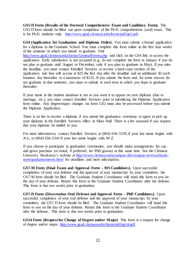**GS5-D Form (Results of the Doctoral Comprehensive Exam and Candidacy Form).** The GS5-D form should be filled out upon completion of the Ph.D. comprehensive (oral) exam. This is for Ph.D. students only. <http://www.grad.clemson.edu/forms/pdf/gs5.pdf>

**GS4 (Application for Graduation and Diploma Order).** You must submit a formal application for a diploma to the Graduate School. You must complete this form online in the first four weeks of the semester in which you intend to graduate. Visit

<http://www.grad.clemson.edu/forms/GeneralForms.php> and click on the GS4 link to access the application. Early submission is not accepted (e.g., do not complete the form in January if you do not plan to graduate until August or December, only if you plan to graduate in May). If you miss the deadline, you must contact Enrolled Services to receive a hard-copy version of the application; late fees will accrue at \$25 the first day after the deadline and an additional \$5 each business day thereafter to a maximum of \$125. If you submit the form and, for some reason, do not graduate in that semester, you must re-submit in each term in which you hope to graduate thereafter.

If your name in the student database is not as you want it to appear on your diploma (due to marriage, etc.), you must contact Enrolled Services prior to submitting the Diploma Application form online. Any degree/major changes via form GS2 must also be processed before you submit the Diploma Application.

There is no fee to receive a diploma if you attend the graduation ceremony or agree to pick up your diploma in the Enrolled Services office in Sikes Hall. There is a fee assessed if you request that your diploma be mailed to you.

For more information, contact Enrolled Services at (864) 656-5339, if your last name begins with A-L, or (864) 656-5341 if your last name begins with M-Z.

If you choose to participate in graduation ceremonies, you should make arrangements for cap and gown purchase (or rental, if preferred, for PhD gowns) at this same time. See the Clemson University Bookstore's website at [http://www.clemson.edu/campus-life/campus-services/book](http://www.clemson.edu/campus-life/campus-services/book-store/graduationitems.html)[store/graduationitems.html](http://www.clemson.edu/campus-life/campus-services/book-store/graduationitems.html) for deadlines and more information.

**GS7-M Form (Final Exam and Approval Form – MS Candidates).** Upon successful completion of your oral defense and the approval of your manuscript by your committee, the GS7-M form should be filed. The Graduate Student Coordinator will hand this form to you on the day of your defense. Return this form to the Graduate Student Coordinator after the defense. This form is due two weeks prior to graduation.

**GS7-D Form (Dissertation Oral Defense and Approval Form – PhD Candidates).** Upon successful completion of your oral defense and the approval of your manuscript by your committee, the GS7-D form should be filed. The Graduate Student Coordinator will hand this form to you on the day of your defense. Return this form to the Graduate Student Coordinator after the defense. This form is due two weeks prior to graduation.

**GS14 Form (Request for Change of Degree and/or Major)**. This form is a request for change of degree and/or major.<http://www.grad.clemson.edu/forms/pdf/gs14.pdf>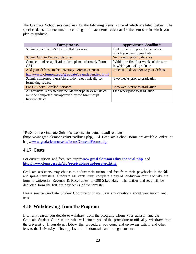The Graduate School sets deadlines for the following items, some of which are listed below. The specific dates are determined according to the academic calendar for the semester in which you plan to graduate.

| <b>Form/process</b>                                     | Approximate deadline*                   |
|---------------------------------------------------------|-----------------------------------------|
| Submit your final GS2 to Enrolled Services              | End of the term prior to the term in    |
|                                                         | which you plan to graduate              |
| <b>Submit GS5 to Enrolled Services</b>                  | Six months prior to defense             |
| Complete online application for diploma (formerly Form  | Within the first four weeks of the term |
| GS4)                                                    | in which you will graduate              |
| Add your defense to the university defense calendar:    | At least 10 days prior to your defense. |
| http://www.clemson.edu/graduate/calendar/index.html     |                                         |
| Submit completed thesis/dissertation electronically for | Two weeks prior to graduation           |
| formatting review                                       |                                         |
| File GS7 with Enrolled Services                         | Two weeks prior to graduation           |
| All revisions requested by the Manuscript Review Office | One week prior to graduation            |
| must be completed and approved by the Manuscript        |                                         |
| Review Office                                           |                                         |

\*Refer to the Graduate School's website for actual deadline dates (http://[www.grad.clemson.edu/Deadlines.php\).](http://www.grad.clemson.edu/Deadlines.php) All Graduate School forms are available online at http://[www.grad.clemson.edu/forms/GeneralForms.php.](http://www.grad.clemson.edu/forms/GeneralForms.php) 

# **4.17 Costs**

For current tuition and fees, see http://[www.grad.clemson.edu/Financial.php](http://www.grad.clemson.edu/Financial.php) and **<http://www.clemson.edu/cfo/receivables/sar/feesched.html>**.

Graduate assistants may choose to deduct their tuition and fees from their paychecks in the fall and spring semesters. Graduate assistants must complete a payroll deduction form and take the form to University Revenue & Receivables in G08 Sikes Hall. The tuition and fees will be deducted from the first six paychecks of the semester.

Please see the Graduate Student Coordinator if you have any questions about your tuition and fees.

### **4.18 Withdrawing from the Program**

If for any reason you decide to withdraw from the program, inform your advisor, and the Graduate Student Coordinator, who will inform you of the procedure to officially withdraw from the university. If you do not follow this procedure, you could end up owing tuition and other fees to the University. This applies to both domestic and foreign students.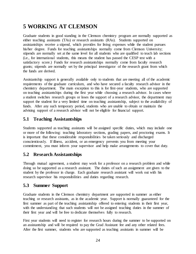# **5 WORKING AT CLEMSON**

Graduate students in good standing in the Clemson chemistry program are normally supported as either teaching assistants (TAs) or research assistants (RAs). Students supported on assistantships receive a stipend, which provides for living expenses while the student pursues his/her degree. Funds for teaching assistantships normally come from Clemson University; stipends are normally set at the same level for all students who are qualified to teach lab sections (i.e., for international students, this means the student has passed the CESP test with a satisfactory score.) Funds for research assistantships normally come from faculty research grants; stipends are normally set by the principal investigator of the research grant from which the funds are derived.

Assistantship support is generally available only to students that are meeting all of the academic requirements of the graduate curriculum, and who have secured a faculty research advisor in the chemistry department. The main exception to this is for first-year students, who are supported on teaching assistantships during the first year while choosing a research advisor. In cases where a student switches research groups or loses the support of a research advisor, the department may support the student for a very limited time on teaching assistantship, subject to the availability of funds. After any such temporary period, students who are unable to obtain or maintain the advising support of a research advisor will not be eligible for financial support.

# **5.1 Teaching Assistantships**

Students supported as teaching assistants will be assigned specific duties, which may include one or more of the following: teaching laboratory sections, grading papers, and proctoring exams. It is important that these considerable responsibilities be taken seriously and discharged conscientiously. If illness, accident, or an emergency prevents you from meeting your commitment, you must inform your supervisor and help make arrangements to cover that duty.

# **5.2 Research Assistantships**

Through mutual agreement, a student may work for a professor on a research problem and while doing so be supported as a research assistant. The duties of such an assignment are given to the student by the professor in charge. Each graduate research assistant will work out with his research supervisor his responsibilities and duties regarding research.

# **5.3 Summer Support**

Graduate students in the Clemson chemistry department are supported in summer as either teaching or research assistants, as in the academic year. Support is normally guaranteed for the first summer as part of the teaching assistantship offered to entering students in their first year, with the understanding that such students will not be assigned teaching duties in the summer of their first year and will be free to dedicate themselves fully to research.

First year students will need to register for research hours during the summer to be supported on an assistantship and will be required to pay the Grad Assistant fee and any other related fees. After the first summer, students who are supported as teaching assistants in summer will be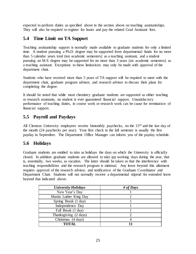expected to perform duties as specified above in the section above on teaching assistantships. They will also be required to register for hours and pay the related Grad Assistant fees.

# **5.4 Time Limit on TA Support**

Teaching assistantship support is normally made available to graduate students for only a limited time. A student pursuing a Ph.D. degree may be supported from departmental funds for no more than 5 calendar years total (ten academic semesters) as a teaching assistant, and a student pursuing an M.S. degree may be supported for no more than 3 years (six academic semesters) as a teaching assistant. Exceptions to these limitations may only be made with approval of the department chair.

Students who have received more than 5 years of TA support will be required to meet with the department chair, graduate program advisor, and research advisor to discuss their plans for completing the degree.

It should be noted that while most chemistry graduate students are supported as either teaching or research assistants, no student is ever guaranteed financial support. Unsatisfactory performance of teaching duties, in course work or research work can be cause for termination of financial support.

### **5.5 Payroll and Paydays**

All Clemson University employees receive bimonthly paychecks, on the 15<sup>th</sup> and the last day of the month (24 paychecks per year). Your first check in the fall semester is usually the first payday in September. The Department Office Manager can inform you of the payday schedule.

### **5.6 Holidays**

Graduate students are entitled to take as holidays the days on which the University is officially closed. In addition graduate students are allowed to take ten working days during the year, that is, essentially, two weeks, as vacation. The latter should be taken so that the interference with teaching responsibilities and the research program is minimal. Any leave beyond this allotment requires approval of the research advisor, and notification of the Graduate Coordinator and Department Chair. Students will not normally receive a departmental stipend for extended leave beyond that indicated above.

| <b>University Holidays</b> | # of Days |
|----------------------------|-----------|
| New Year's Day             |           |
| Martin Luther King Day     |           |
| Spring Break (1 day)       |           |
| Independence Day           |           |
| Fall Break (1 day)         |           |
| Thanksgiving (2 days)      |           |
| Christmas (4 days)         |           |
| TOTAL                      |           |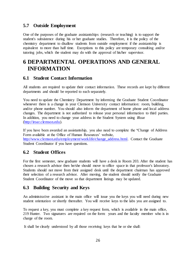### **5.7 Outside Employment**

One of the purposes of the graduate assistantships (research or teaching) is to support the student's subsistence during his or her graduate studies. Therefore, it is the policy of the chemistry department to disallow students from outside employment if the assistantship is equivalent to more than half time. Exceptions to this policy are temporary consulting and/or tutoring jobs, which the student may do with the approval of his/her supervisor.

# **6 DEPARTMENTAL OPERATIONS AND GENERAL INFORMATION**

### **6.1 Student Contact Information**

All students are required to update their contact information. These records are kept by different departments and should be reported to each separately.

You need to update the Chemistry Department by informing the Graduate Student Coordinator whenever there is a change in your Clemson University contact information: room, building, and/or phone number. You should also inform the department of home phone and local address changes. The department is not authorized to release your personal information to third parties. In addition, you need to change your address in the Student System using iRoar [\(http://iroar.clemson.edu\).](http://iroar.clemson.edu/)

If you have been awarded an assistantship, you also need to complete the "Change of Address Form available at the Office of Human Resources' website,

[http://www.clemson.edu/employment/worklife/change\\_address.html.](http://www.clemson.edu/employment/worklife/change_address.html) Contact the Graduate Student Coordinator if you have questions.

### **6.2 Student Offices**

For the first semester, new graduate students will have a desk in Room 203. After the student has chosen a research advisor then he/she should move to office space in that professor's laboratory. Students should not move from their assigned desk until the department chairman has approved their selection of a research advisor. After moving, the student should notify the Graduate Student Coordinator of the move so that department listings may be updated.

# **6.3 Building Security and Keys**

An administrative assistant in the main office will issue you the keys you will need during new student orientation or shortly thereafter. You will receive keys to the labs you are assigned to.

To request a key, you must complete a key request form, which is available in the main office, 219 Hunter. Two signatures are required on the form: yours and the faculty member who is in charge of the room.

It shall be clearly understood by all those receiving keys that he or she shall: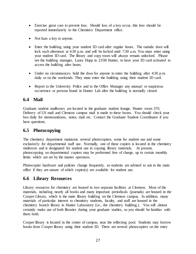- Exercise great care to prevent loss. Should loss of a key occur, this loss should be reported immediately to the Chemistry Department office.
- Not loan a key to anyone.
- Enter the building using your student ID card after regular hours. The outside door will lock each afternoon at 4:30 p.m. and will be locked until 7:30 a.m. You must enter using your student ID card. The library and copy room will always remain unlocked. Please see the building manager, Laura Hupp in 235B Hunter, to have your ID card activated to access the building after hours.
- Under no circumstances hold the door for anyone to enter the building after 4:30 p.m. daily or on the weekends. They must enter the building using their student ID card.
- Report to the University Police and to the Office Manager any unusual or suspicious occurrence or persons found in Hunter Lab after the building is normally closed.

# **6.4 Mail**

Graduate student mailboxes are located in the graduate student lounge, Hunter room 370. Delivery of US mail and Clemson campus mail is made to these boxes. You should check your box daily for memorandums, notes, mail etc. Contact the Graduate Student Coordinator if you have questions.

# **6.5 Photocopying**

The chemistry department maintains several photocopiers, some for student use and some exclusively for departmental staff use. Normally, one of these copiers is located in the chemistry mailroom and is designated for student use in copying library materials. At present, photocopying on departmental copiers may be performed free of charge, up to certain monthly limits which are set by the master operators.

Photocopier hardware and policies change frequently, so students are advised to ask in the main office if they are unsure of which copier(s) are available for student use.

# **6.6 Library Resources**

Library resources for chemistry are housed in two separate facilities at Clemson. Most of the materials, including nearly all books and many important periodicals (journals) are housed in the Cooper Library, which is the main library building on the Clemson campus. In addition, many materials of particular interest to chemistry students, faculty, and staff are housed in the chemistry branch library in Hunter Laboratory (i.e., the chemistry building.). You will almost certainly make use of both libraries during your graduate studies, so you should be familiar with them both.

Cooper library is located in the center of campus, near the reflecting pool. Students may borrow books from Cooper library using their student ID. There are several photocopiers on the entry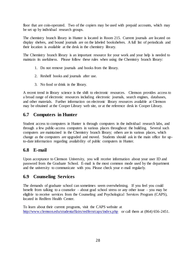floor that are coin-operated. Two of the copiers may be used with prepaid accounts, which may be set up by individual research groups.

The chemistry branch library in Hunter is located in Room 215. Current journals are located on display shelves, and bound journals are on the labeled bookshelves. A full list of periodicals and their location is available at the desk in the chemistry library.

The Chemistry branch library is an important resource for your work and your help is needed to maintain its usefulness. Please follow these rules when using the Chemistry branch library:

- 1. Do not remove journals and books from the library.
- 2. Reshelf books and journals after use.
- 3. No food or drink in the library.

A recent trend in library science is the shift to electronic resources. Clemson provides access to a broad range of electronic resources including electronic journals, search engines, databases, and other materials. Further information on electronic library resources available at Clemson may be obtained at the Cooper Library web site, or at the reference desk in Cooper Library.

### **6.7 Computers in Hunter**

Student access to computers in Hunter is through computers in the individual research labs, and through a few public-access computers in various places throughout the building. Several such computers are maintained in the Chemistry branch library; others are in various places, which change as the computers are upgraded and moved. Students should ask in the main office for upto-date information regarding availability of public computers in Hunter.

### **6.8 E-mail**

Upon acceptance to Clemson University, you will receive information about your user ID and password from the Graduate School. E-mail is the most common mode used by the department and the university to communicate with you. Please check your e-mail regularly.

### **6.9 Counseling Services**

The demands of graduate school can sometimes seem overwhelming. If you feel you could benefit from talking to a counselor – about grad school stress or any other issue – you may be eligible to receive services from the Counseling and Psychological Services Program (CAPS), located in Redfern Health Center.

To learn about their current programs, visit the CAPS website at <http://www.clemson.edu/studentaffairs/redfern/caps/index.php> or call them at (864) 656-2451.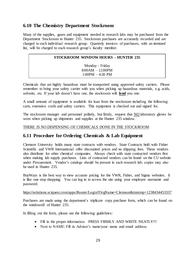### **6.10 The Chemistry Department Stockroom**

Many of the supplies, gases and equipment needed in research labs may be purchased from the Department Stockroom in Hunter 235. Stockroom purchases are accurately recorded and are charged to each individual research group. Quarterly invoices of purchases, with an itemized list, will be charged to each research group's faculty member.

#### **STOCKROOM WINDOW HOURS – HUNTER 235**

Monday - Friday 8:00AM – 12:00PM 1:00PM – 4:30 PM

Chemicals that are highly hazardous must be transported using approved safety carriers. Please remember to bring your safety carrier with you when picking up hazardous materials, e.g. acids, solvents, etc. If your lab doesn't have one, the stockroom will **lend** you one.

A small amount of equipment is available for loan from the stockroom including the following: carts, extension cords and safety carriers. This equipment is checked out and signed for.

The stockroom manager and personnel politely, but firmly, request that NO laboratory gloves be worn when picking up shipments and supplies at the Hunter 235 window.

#### THERE IS NO DISPENSING OF CHEMICALS DONE IN THE STOCKROOM

### **6.11 Procedure for Ordering Chemicals & Lab Equipment**

Clemson University holds many state contracts with vendors. State Contracts held with Fisher Scientific and VWR International offer discounted prices and no shipping fees. These vendors also distribute for other chemical companies. Always check with state contracted vendors first when making lab supply purchases. Lists of contracted vendors can be found on the CU website under Procurement. Vendor's catalogs should be present in each research lab; copies may also be used in Hunter 235.

BuyWays is the best way to view accurate pricing for the VWR, Fisher, and Sigma websites. It is like one stop shopping. You can log in to access the site using your employee username and password.

#### <https://solutions.sciquest.com/apps/Router/Login?OrgName=Clemson&tmstmp=1238434453337>

Purchases are made using the department's triplicate copy purchase form, which can be found on the windowsill of Hunter 235.

In filling out the form, please use the following guidelines:

- Fill in the proper information. PRESS FIRMLY AND WRITE NEATLY!!!
- Next to NAME: Fill in Advisor's name/your name and email address.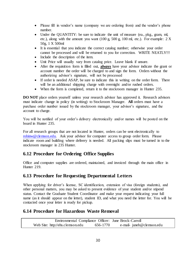- Please fill in vendor's name (company we are ordering from) and the vendor's phone number.
- Under the QUANTITY: be sure to indicate the unit of measure (ea., pkg., gram, ml, etc.), along with the amount you want (100 g, 500 g, 100 ml, etc.). For example: 2 X 50g, 1 X 500ml
- It is essential that you indicate the correct catalog number; otherwise your order cannot be processed and will be returned to you for correction. WRITE NEATLY!!!
- Include the description of the item.
- Unit Price will usually vary from catalog price. Leave blank if unsure.
- After the requisition form is filled out, **always** have your advisor indicate the grant or account number the order will be charged to and sign the form. Orders without the authorizing advisor's signature, will not be processed
- If order is needed ASAP, be sure to indicate this in writing on the order form. There will be an additional shipping charge with overnight and/or rushed orders.
- When the form is completed, return it to the stockroom manager in Hunter 235.

**DO NOT** place orders yourself unless your research advisor has approved it. Research advisors must indicate change in policy (in writing) to Stockroom Manager. **All** orders must have a purchase order number issued by the stockroom manager, your advisor's signature, and the account to charge.

You will be notified of your order's delivery electronically and/or names will be posted on the board in Hunter 235.

For all research groups that are not located in Hunter, orders can be sent electronically to [robinw@clemson.edu.](mailto:robinw@clemson.edu) Ask your advisor for computer access to group order form. Please indicate room and building where delivery is needed. All packing slips must be turned in to the stockroom manager in 235 Hunter.

# **6.12 Procedure for Ordering Office Supplies**

Office and computer supplies are ordered, maintained, and invoiced through the main office in Hunter 219.

# **6.13 Procedure for Requesting Departmental Letters**

When applying for driver's license, SC identification, extension of visa (foreign students), and other personal matters, you may be asked to present evidence of your student and/or stipend status. Contact the Graduate Student Coordinator and make your request indicating your full name (as it should appear on the letter), student ID, and what you need the letter for. You will be contacted once your letter is ready for pickup.

# **6.14 Procedure for Hazardous Waste Removal**

Environmental Compliance Officer: June Brock-Carroll Web Site: http://ehs.clemson.edu 656-1770 e-mail- juneb@clemson.edu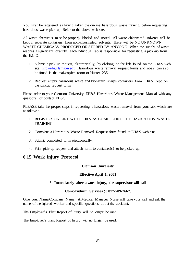You must be registered as having taken the on-line hazardous waste training before requesting hazardous waste pick up. Refer to the above web site.

All waste chemicals must be properly labeled and stored. All waste chlorinated solvents will be kept in separate containers from non-chlorinated solvents. There will be NO UNKNOWN WASTE CHEMICALS PRODUCED OR STORED BY ANYONE. When the supply of waste reaches a significant quantity, each individual lab is responsible for requesting a pick-up from the E.C.O.

- 1. Submit a pick up request, electronically, by clicking on the link found on the EH&S web site, [http://ehs.clemson.edu](http://ehs.clemson.edu/) Hazardous waste removal request forms and labels can also be found in the mail/copier room or Hunter 235.
- 2. Request empty hazardous waste and biohazard sharps containers from EH&S Dept. on the pickup request form.

Please refer to your Clemson University EH&S Hazardous Waste Management Manual with any questions, or contact EH&S.

PLEASE take the proper steps in requesting a hazardous waste removal from your lab, which are as follows:

- 1. REGISTER ON LINE WITH EH&S AS COMPLETING THE HAZARDOUS WASTE TRAINING.
- 2. Complete a Hazardous Waste Removal Request form found at EH&S web site.
- 3. Submit completed form electronically.
- 4. Print pick-up request and attach form to container(s) to be picked up.

### **6.15 Work Injury Protocol**

#### **Clemson University**

#### **Effective April 1, 2001**

#### **\* Immediately after a work injury, the supervisor will call**

#### **CompEndium Services @ 877-709-2667.**

Give your Name/Company Name. A Medical Manager Nurse will take your call and ask the name of the injured worker and specific questions about the accident.

The Employer's First Report of Injury will no longer be used.

The Employer's First Report of Injury will no longer be used.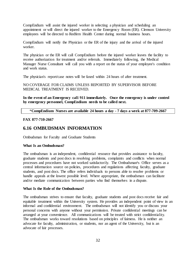CompEndium will assist the injured worker in selecting a physician and scheduling an appointment or will direct the injured worker to the Emergency Room (ER). Clemson University employees will be directed to Redfern Health Center during normal business hours.

CompEndium will notify the Physician or the ER of the injury and the arrival of the injured worker.

The physician or the ER will call CompEndium before the injured worker leaves the facility to receive authorization for treatment and/or referrals. Immediately following, the Medical Manager Nurse Consultant will call you with a report on the status of your employee's condition and work status.

The physician's report/case notes will be faxed within 24 hours of after treatment.

NO COVERAGE FOR CLAIMS UNLESS REPORTED BY SUPERVISOR BEFORE MEDICAL TREATMENT IS RECEIVED.

**In the event of an Emergency cal1 911 immediately. Once the emergency is under control by emergency personnel, CompEndium needs to be called next.**

\***CompEndium Nurses are available 24 hours a day - 7 days a week at 877-709-2667**

#### **FAX 877-710-2667**

### **6.16 OMBUDSMAN INFORMATION**

Ombudsman for Faculty and Graduate Students

#### **What Is an Ombudsman?**

The ombudsman is an independent, confidential resource that provides assistance to faculty, graduate students and post docs in resolving problems, complaints and conflicts when normal processes and procedures have not worked satisfactorily. The Ombudsman<sup>1</sup>s Office serves as a central information source on policies, procedures and regulations affecting faculty, graduate students, and post docs. The office refers individuals to persons able to resolve problems or handle appeals at the lowest possible level. Where appropriate, the ombudsman can facilitate and/or mediate communication between parties who find themselves in a dispute.

#### **What Is the Role of the Ombudsman?**

The ombudsman strives to ensure that faculty, graduate students and post docs receive fair and equitable treatment within the University system. He provides an independent point of view in an informal and confidential environment. The ombudsman will not identify you or discuss your personal concerns with anyone without your permission. Private confidential meetings can be arranged at your convenience. All communications will be treated with strict confidentiality. The ombudsman works toward resolutions based on principles of fairness. He is neither an advocate for faculty, administration, or students, nor an agent of the University, but is an advocate of fair processes.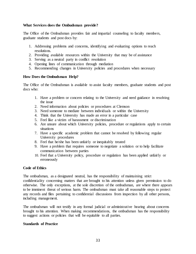#### **What Services does the Ombudsman provide?**

The Office of the Ombudsman provides fair and impartial counseling to faculty members, graduate students and post docs by:

- 1. Addressing problems and concerns, identifying and evaluating options to reach resolutions.
- 2. Providing available resources within the University that may be of assistance
- 3. Serving as a neutral party in conflict resolution
- 4. Opening lines of communication through mediation
- 5. Recommending changes in University policies and procedures when necessary

#### **How Does the Ombudsman Help?**

The Office of the Ombudsman is available to assist faculty members, graduate students and post docs who:

- 1. Have a problem or concern relating to the University and need guidance in resolving the issue
- 2. Need information about policies or procedures at Clemson
- 3. Need someone to mediate between individuals or within the University
- 4. Think that the University has made an error in a particular case
- 5. Feel like a victim of harassment or discrimination
- 6. Are unsure about which University policies, procedure or regulations apply to certain situations
- 7. Have a specific academic problem that cannot be resolved by following regular University procedures
- 8. Feel that he/she has been unfairly or inequitably treated
- 9. Have a problem that requires someone to negotiate a solution or to help facilitate communication between parties
- 10. Feel that a University policy, procedure or regulation has been applied unfairly or erroneously

#### **Code of Ethics**

The ombudsman, as a designated neutral, has the responsibility of maintaining strict confidentiality concerning matters that are brought to his attention unless given permission to do otherwise. The only exceptions, at the sole discretion of the ombudsman, are where there appears to be imminent threat of serious harm. The ombudsman must take all reasonable steps to protect any records and files pertaining to confidential discussions from inspection by all other persons, including management.

The ombudsman will not testify in any formal judicial or administrative hearing about concerns brought to his attention. When making recommendations, the ombudsman has the responsibility to suggest actions or policies that will be equitable to all parties.

#### **Standards of Practice**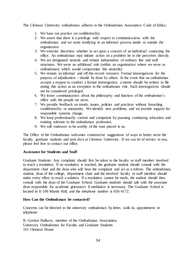The Clemson University ombudsman adheres to the Ombudsman Association Code of Ethics:

- 1. We base our practice on confidentiality.
- 2. We assert that there is a privilege with respect to communications with the ombudsman, and we resist testifying in an informal process inside or outside the organization.
- 3. We exercise discretion whether to act upon a concern of an individual contacting the office. An ombudsman may initiate action on a problem he or she perceives directly.
- 4. We are designated neutrals and remain independent of ordinary line and staff structures. We serve no additional role (within an organization where we serve as ombudsman) which would compromise this neutrality.
- 5. We remain an informal and off-the-record resource. Formal investigations for the purpose of adjudication  $\langle$  should be done by others. In the event that an ombudsman accepts a request to conduct a formal investigation, a memo should be written to file noting this action as an exception to the ombudsman role. Such investigations should not be considered privileged.
- 6. We foster communication about the philosophy and function of the ombudsman's office with the people we serve.
- 7. We provide feedback on trends, issues, policies and practices without breaching confidentiality or anonymity. We identify new problems, and we provide support for responsible systems change.
- 8. We keep professionally current and competent by pursuing continuing education and training relevant to the ombudsman profession.
- 9. We will endeavor to be worthy of the trust placed in us.

The Office of the Ombudsman welcomes constructive suggestions of ways to better serve the faculty, graduate students and post docs at Clemson University. If we can be of service to you, please feel free to contact our office.

#### **Assistance for Students and Staff**

Graduate Students: Any complaint should first be taken to the faculty or staff member involved to reach a resolution. If no resolution is reached, the graduate student should consult with the department chair and the dean who will hear the complaint and act as a referee. The ombudsman, student, dean of the college, department chair and the involved faculty or staff member should make every effort to reach a solution. If a resolution cannot be made, the student should then consult with the dean of the Graduate School. Graduate students should talk with the associate dean responsible for academic grievances if mediation is necessary. The Graduate School is located in E-106 Martin Hall, and the telephone number is 656-4172.

#### **How Can the Ombudsman be contacted?**

Concerns can be directed to the university ombudsman by letter, walk-in, appointment or telephone:

R. Gordon Halfacre, member of the Ombudsman Association, University Ombudsman for Faculty and Graduate Students 101 Clemson House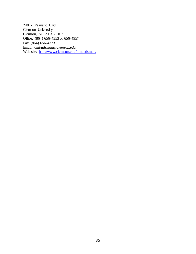248 N. Palmetto Blvd. Clemson University Clemson, SC 29631-5107 Office: (864) 656-4353 or 656-4957 Fax: (864) 656-4373 Email: *[ombudsman@clemson.edu](mailto:ombudsman@clemson.edu)* Web site: <http://www.clemson.edu/ombudsman/>